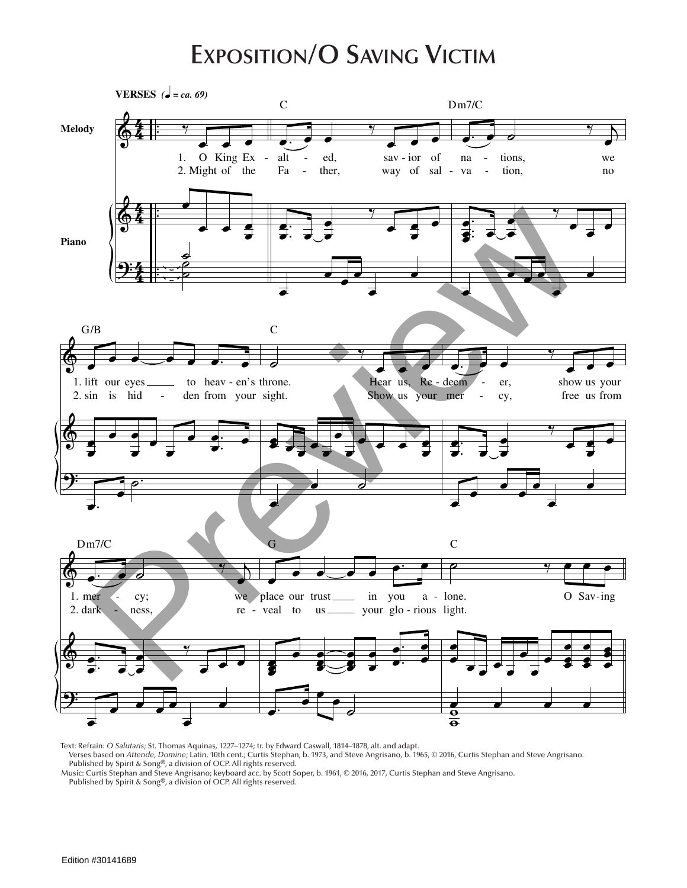## **Exposition/O Saving Victim**



Text: Refrain: *O Salutaris;* St. Thomas Aquinas, 1227–1274; tr. by Edward Caswall, 1814–1878, alt. and adapt.

Verses based on *Attende, Domine;* Latin, 10th cent.; Curtis Stephan, b. 1973, and Steve Angrisano, b. 1965, © 2016, Curtis Stephan and Steve Angrisano.

Published by Spirit & Song®, a division of OCP. All rights reserved. Music: Curtis Stephan and Steve Angrisano; keyboard acc. by Scott Soper, b. 1961, © 2016, 2017, Curtis Stephan and Steve Angrisano. Published by Spirit & Song®, a division of OCP. All rights reserved.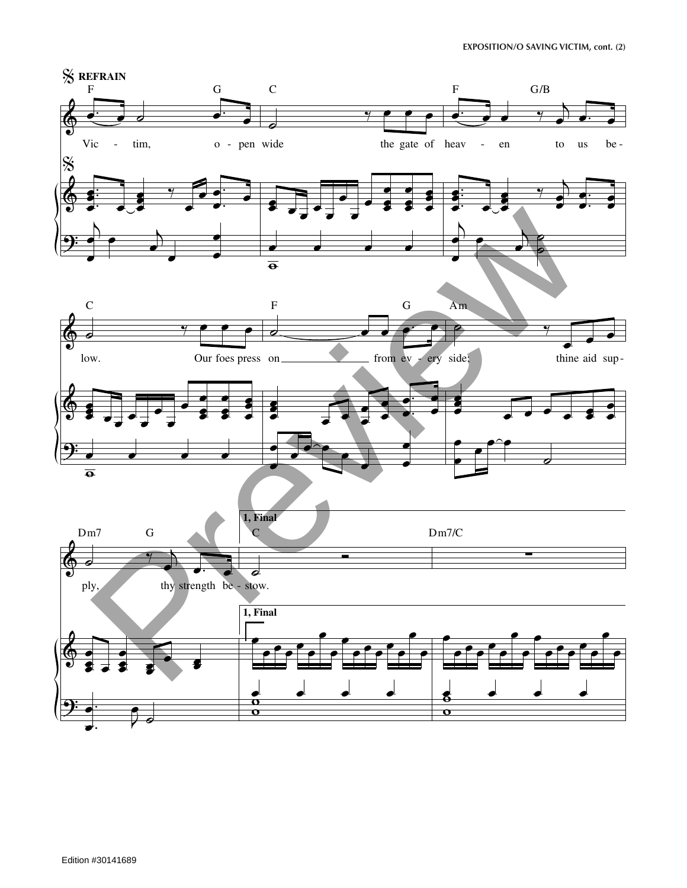